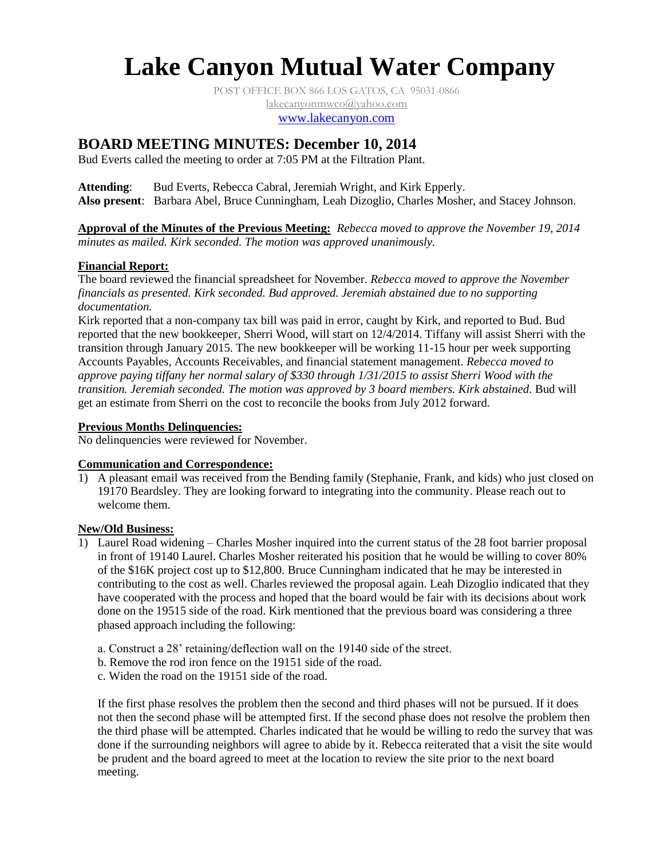# **Lake Canyon Mutual Water Company**

POST OFFICE BOX 866 LOS GATOS, CA 95031-0866 [lakecanyonmwco@yahoo.com](mailto:lakecanyonmwco@yahoo.com) [www.lakecanyon.com](http://www.lakecanyon.com/)

# **BOARD MEETING MINUTES: December 10, 2014**

Bud Everts called the meeting to order at 7:05 PM at the Filtration Plant.

**Attending**: Bud Everts, Rebecca Cabral, Jeremiah Wright, and Kirk Epperly. **Also present**: Barbara Abel, Bruce Cunningham, Leah Dizoglio, Charles Mosher, and Stacey Johnson.

**Approval of the Minutes of the Previous Meeting:** *Rebecca moved to approve the November 19, 2014 minutes as mailed. Kirk seconded. The motion was approved unanimously.*

### **Financial Report:**

The board reviewed the financial spreadsheet for November. *Rebecca moved to approve the November financials as presented. Kirk seconded. Bud approved. Jeremiah abstained due to no supporting documentation.*

Kirk reported that a non-company tax bill was paid in error, caught by Kirk, and reported to Bud. Bud reported that the new bookkeeper, Sherri Wood, will start on 12/4/2014. Tiffany will assist Sherri with the transition through January 2015. The new bookkeeper will be working 11-15 hour per week supporting Accounts Payables, Accounts Receivables, and financial statement management. *Rebecca moved to approve paying tiffany her normal salary of \$330 through 1/31/2015 to assist Sherri Wood with the transition. Jeremiah seconded. The motion was approved by 3 board members. Kirk abstained.* Bud will get an estimate from Sherri on the cost to reconcile the books from July 2012 forward.

## **Previous Months Delinquencies:**

No delinquencies were reviewed for November.

#### **Communication and Correspondence:**

1) A pleasant email was received from the Bending family (Stephanie, Frank, and kids) who just closed on 19170 Beardsley. They are looking forward to integrating into the community. Please reach out to welcome them.

#### **New/Old Business:**

- 1) Laurel Road widening Charles Mosher inquired into the current status of the 28 foot barrier proposal in front of 19140 Laurel. Charles Mosher reiterated his position that he would be willing to cover 80% of the \$16K project cost up to \$12,800. Bruce Cunningham indicated that he may be interested in contributing to the cost as well. Charles reviewed the proposal again. Leah Dizoglio indicated that they have cooperated with the process and hoped that the board would be fair with its decisions about work done on the 19515 side of the road. Kirk mentioned that the previous board was considering a three phased approach including the following:
	- a. Construct a 28' retaining/deflection wall on the 19140 side of the street.
	- b. Remove the rod iron fence on the 19151 side of the road.
	- c. Widen the road on the 19151 side of the road.

If the first phase resolves the problem then the second and third phases will not be pursued. If it does not then the second phase will be attempted first. If the second phase does not resolve the problem then the third phase will be attempted. Charles indicated that he would be willing to redo the survey that was done if the surrounding neighbors will agree to abide by it. Rebecca reiterated that a visit the site would be prudent and the board agreed to meet at the location to review the site prior to the next board meeting.